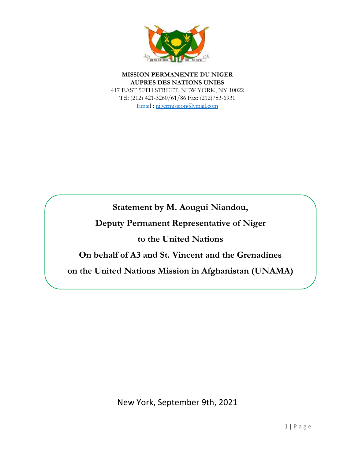

**MISSION PERMANENTE DU NIGER AUPRES DES NATIONS UNIES** 417 EAST 50TH STREET, NEW YORK, NY 10022 Tél: (212) 421-3260/61/86 Fax: (212)753-6931 Email : [nigermission@ymail.com](mailto:nigermission@ymail.com)

**Statement by M. Aougui Niandou,**

**Deputy Permanent Representative of Niger** 

**to the United Nations**

**On behalf of A3 and St. Vincent and the Grenadines**

**on the United Nations Mission in Afghanistan (UNAMA)**

New York, September 9th, 2021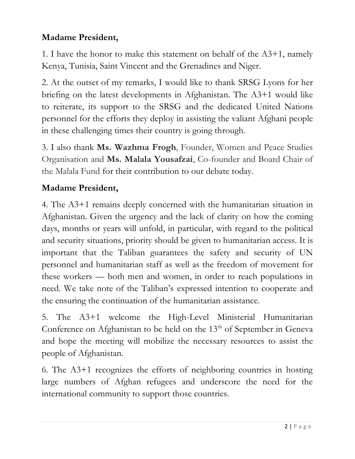## **Madame President,**

1. I have the honor to make this statement on behalf of the A3+1, namely Kenya, Tunisia, Saint Vincent and the Grenadines and Niger.

2. At the outset of my remarks, I would like to thank SRSG Lyons for her briefing on the latest developments in Afghanistan. The A3+1 would like to reiterate, its support to the SRSG and the dedicated United Nations personnel for the efforts they deploy in assisting the valiant Afghani people in these challenging times their country is going through.

3. I also thank **Ms. Wazhma Frogh**, Founder, Women and Peace Studies Organisation and **Ms. Malala Yousafzai**, Co-founder and Board Chair of the Malala Fund for their contribution to our debate today.

## **Madame President,**

4. The A3+1 remains deeply concerned with the humanitarian situation in Afghanistan. Given the urgency and the lack of clarity on how the coming days, months or years will unfold, in particular, with regard to the political and security situations, priority should be given to humanitarian access. It is important that the Taliban guarantees the safety and security of UN personnel and humanitarian staff as well as the freedom of movement for these workers — both men and women, in order to reach populations in need. We take note of the Taliban's expressed intention to cooperate and the ensuring the continuation of the humanitarian assistance.

5. The A3+1 welcome the High-Level Ministerial Humanitarian Conference on Afghanistan to be held on the  $13<sup>th</sup>$  of September in Geneva and hope the meeting will mobilize the necessary resources to assist the people of Afghanistan.

6. The A3+1 recognizes the efforts of neighboring countries in hosting large numbers of Afghan refugees and underscore the need for the international community to support those countries.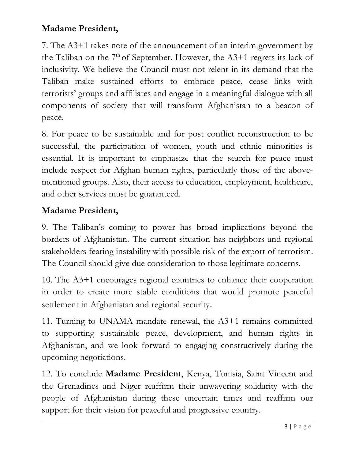## **Madame President,**

7. The A3+1 takes note of the announcement of an interim government by the Taliban on the  $7<sup>th</sup>$  of September. However, the A3+1 regrets its lack of inclusivity. We believe the Council must not relent in its demand that the Taliban make sustained efforts to embrace peace, cease links with terrorists' groups and affiliates and engage in a meaningful dialogue with all components of society that will transform Afghanistan to a beacon of peace.

8. For peace to be sustainable and for post conflict reconstruction to be successful, the participation of women, youth and ethnic minorities is essential. It is important to emphasize that the search for peace must include respect for Afghan human rights, particularly those of the abovementioned groups. Also, their access to education, employment, healthcare, and other services must be guaranteed.

## **Madame President,**

9. The Taliban's coming to power has broad implications beyond the borders of Afghanistan. The current situation has neighbors and regional stakeholders fearing instability with possible risk of the export of terrorism. The Council should give due consideration to those legitimate concerns.

10. The A3+1 encourages regional countries to enhance their cooperation in order to create more stable conditions that would promote peaceful settlement in Afghanistan and regional security.

11. Turning to UNAMA mandate renewal, the A3+1 remains committed to supporting sustainable peace, development, and human rights in Afghanistan, and we look forward to engaging constructively during the upcoming negotiations.

12. To conclude **Madame President**, Kenya, Tunisia, Saint Vincent and the Grenadines and Niger reaffirm their unwavering solidarity with the people of Afghanistan during these uncertain times and reaffirm our support for their vision for peaceful and progressive country.